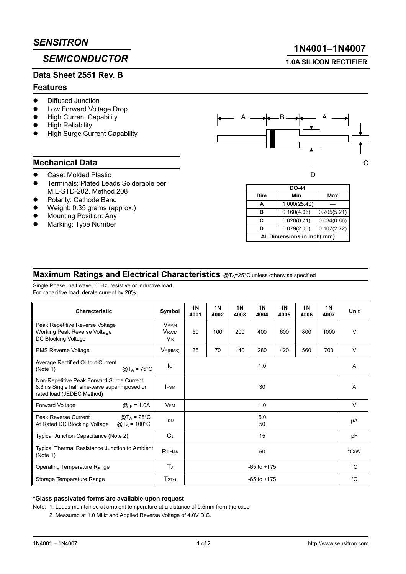# **SEMICONDUCTOR**

## Data Sheet 2551 Rev. B

#### **Features**

- **Diffused Junction**
- Low Forward Voltage Drop
- **High Current Capability**
- **High Reliability**
- **High Surge Current Capability**

### **Mechanical Data**

- Case: Molded Plastic
- Terminals: Plated Leads Solderable per MIL-STD-202. Method 208
- Polarity: Cathode Band
- Weight: 0.35 grams (approx.)
- Mounting Position: Any
- Marking: Type Number



| <b>DO-41</b>               |              |             |  |  |  |  |  |  |
|----------------------------|--------------|-------------|--|--|--|--|--|--|
| Dim                        | Min          | Max         |  |  |  |  |  |  |
| A                          | 1.000(25.40) |             |  |  |  |  |  |  |
| в                          | 0.160(4.06)  | 0.205(5.21) |  |  |  |  |  |  |
| С                          | 0.028(0.71)  | 0.034(0.86) |  |  |  |  |  |  |
| ח                          | 0.079(2.00)  | 0.107(2.72) |  |  |  |  |  |  |
| All Dimensions in inch(mm) |              |             |  |  |  |  |  |  |

### Maximum Ratings and Electrical Characteristics @TA=25°C unless otherwise specified

Single Phase, half wave, 60Hz, resistive or inductive load. For capacitive load, derate current by 20%.

| <b>Characteristic</b>                                                                                                 | Symbol                                       | <b>1N</b><br>4001 | 1 <sub>N</sub><br>4002 | <b>1N</b><br>4003 | <b>1N</b><br>4004 | 1 <sub>N</sub><br>4005 | <b>1N</b><br>4006 | <b>1N</b><br>4007 | <b>Unit</b> |
|-----------------------------------------------------------------------------------------------------------------------|----------------------------------------------|-------------------|------------------------|-------------------|-------------------|------------------------|-------------------|-------------------|-------------|
| Peak Repetitive Reverse Voltage<br>Working Peak Reverse Voltage<br>DC Blocking Voltage                                | <b>VRRM</b><br><b>V</b> <sub>RWM</sub><br>VR | 50                | 100                    | 200               | 400               | 600                    | 800               | 1000              | $\vee$      |
| <b>RMS Reverse Voltage</b>                                                                                            | $V_{R(RMS)}$                                 | 35                | 70                     | 140               | 280               | 420                    | 560               | 700               | $\vee$      |
| Average Rectified Output Current<br>$@T_A = 75^{\circ}C$<br>(Note 1)                                                  | lo                                           | 1.0               |                        |                   |                   |                        |                   |                   | A           |
| Non-Repetitive Peak Forward Surge Current<br>8.3ms Single half sine-wave superimposed on<br>rated load (JEDEC Method) | <b>IFSM</b>                                  | 30                |                        |                   |                   |                        |                   |                   | A           |
| $@I_F = 1.0A$<br>Forward Voltage                                                                                      | <b>VFM</b>                                   | 1.0               |                        |                   |                   |                        |                   |                   | $\vee$      |
| $@T_A = 25^{\circ}C$<br>Peak Reverse Current<br>At Rated DC Blocking Voltage<br>$@T_A = 100°C$                        | <b>IRM</b>                                   | 5.0<br>50         |                        |                   |                   |                        |                   |                   | μA          |
| Typical Junction Capacitance (Note 2)                                                                                 | $C_J$                                        | 15                |                        |                   |                   |                        |                   |                   | pF          |
| Typical Thermal Resistance Junction to Ambient<br>(Note 1)                                                            | <b>RTHJA</b>                                 | 50                |                        |                   |                   |                        |                   | °C/W              |             |
| <b>Operating Temperature Range</b>                                                                                    | ΤJ                                           | $-65$ to $+175$   |                        |                   |                   |                        |                   | °C                |             |
| Storage Temperature Range                                                                                             | Tstg                                         | $-65$ to $+175$   |                        |                   |                   |                        |                   | °C                |             |

#### \*Glass passivated forms are available upon request

Note: 1. Leads maintained at ambient temperature at a distance of 9.5mm from the case

2. Measured at 1.0 MHz and Applied Reverse Voltage of 4.0V D.C.

# 1N4001-1N4007

**1.0A SILICON RECTIFIER**